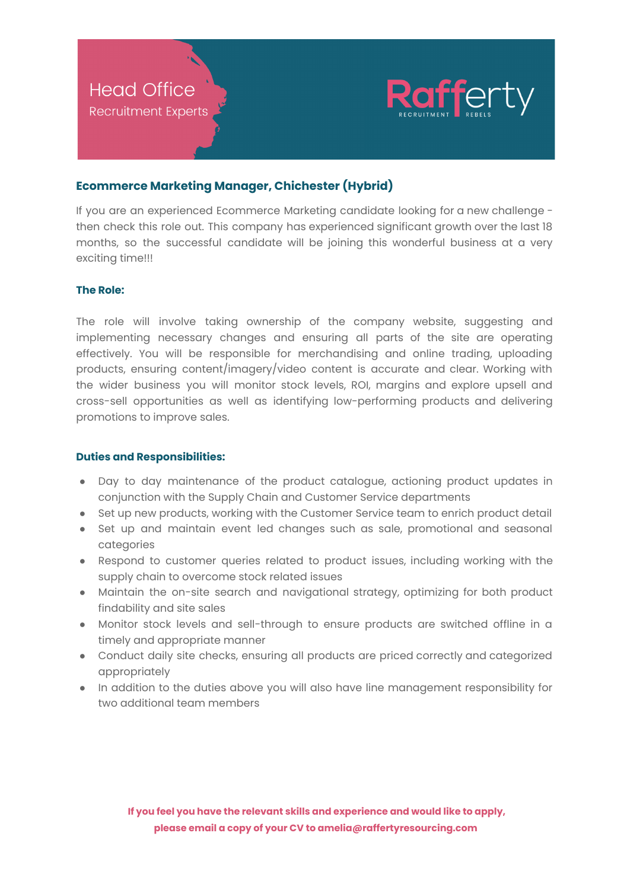

# **Ecommerce Marketing Manager, Chichester (Hybrid)**

If you are an experienced Ecommerce Marketing candidate looking for a new challenge then check this role out. This company has experienced significant growth over the last 18 months, so the successful candidate will be joining this wonderful business at a very exciting time!!!

## **The Role:**

The role will involve taking ownership of the company website, suggesting and implementing necessary changes and ensuring all parts of the site are operating effectively. You will be responsible for merchandising and online trading, uploading products, ensuring content/imagery/video content is accurate and clear. Working with the wider business you will monitor stock levels, ROI, margins and explore upsell and cross-sell opportunities as well as identifying low-performing products and delivering promotions to improve sales.

## **Duties and Responsibilities:**

- Day to day maintenance of the product catalogue, actioning product updates in conjunction with the Supply Chain and Customer Service departments
- Set up new products, working with the Customer Service team to enrich product detail
- Set up and maintain event led changes such as sale, promotional and seasonal categories
- Respond to customer queries related to product issues, including working with the supply chain to overcome stock related issues
- Maintain the on-site search and navigational strategy, optimizing for both product findability and site sales
- Monitor stock levels and sell-through to ensure products are switched offline in a timely and appropriate manner
- Conduct daily site checks, ensuring all products are priced correctly and categorized appropriately
- In addition to the duties above you will also have line management responsibility for two additional team members